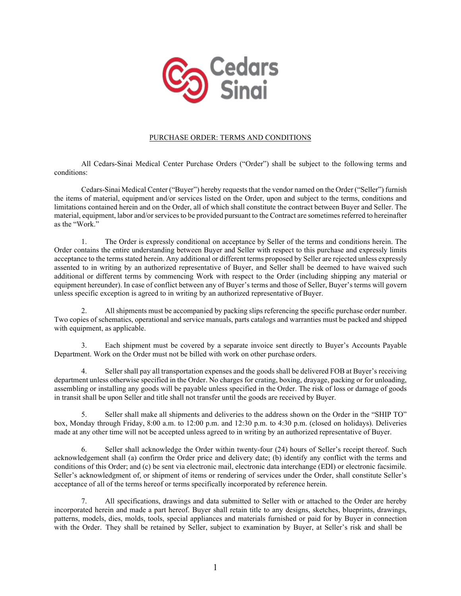

## PURCHASE ORDER: TERMS AND CONDITIONS

All Cedars-Sinai Medical Center Purchase Orders ("Order") shall be subject to the following terms and conditions:

Cedars-Sinai Medical Center ("Buyer") hereby requests that the vendor named on the Order ("Seller") furnish the items of material, equipment and/or services listed on the Order, upon and subject to the terms, conditions and limitations contained herein and on the Order, all of which shall constitute the contract between Buyer and Seller. The material, equipment, labor and/or services to be provided pursuant to the Contract are sometimes referred to hereinafter as the "Work."

1. The Order is expressly conditional on acceptance by Seller of the terms and conditions herein. The Order contains the entire understanding between Buyer and Seller with respect to this purchase and expressly limits acceptance to the terms stated herein. Any additional or different terms proposed by Seller are rejected unless expressly assented to in writing by an authorized representative of Buyer, and Seller shall be deemed to have waived such additional or different terms by commencing Work with respect to the Order (including shipping any material or equipment hereunder). In case of conflict between any of Buyer's terms and those of Seller, Buyer's terms will govern unless specific exception is agreed to in writing by an authorized representative ofBuyer.

2. All shipments must be accompanied by packing slips referencing the specific purchase order number. Two copies of schematics, operational and service manuals, parts catalogs and warranties must be packed and shipped with equipment, as applicable.

3. Each shipment must be covered by a separate invoice sent directly to Buyer's Accounts Payable Department. Work on the Order must not be billed with work on other purchase orders.

4. Seller shall pay all transportation expenses and the goods shall be delivered FOB at Buyer's receiving department unless otherwise specified in the Order. No charges for crating, boxing, drayage, packing or for unloading, assembling or installing any goods will be payable unless specified in the Order. The risk of loss or damage of goods in transit shall be upon Seller and title shall not transfer until the goods are received by Buyer.

5. Seller shall make all shipments and deliveries to the address shown on the Order in the "SHIP TO" box, Monday through Friday, 8:00 a.m. to 12:00 p.m. and 12:30 p.m. to 4:30 p.m. (closed on holidays). Deliveries made at any other time will not be accepted unless agreed to in writing by an authorized representative of Buyer.

6. Seller shall acknowledge the Order within twenty-four (24) hours of Seller's receipt thereof. Such acknowledgement shall (a) confirm the Order price and delivery date; (b) identify any conflict with the terms and conditions of this Order; and (c) be sent via electronic mail, electronic data interchange (EDI) or electronic facsimile. Seller's acknowledgment of, or shipment of items or rendering of services under the Order, shall constitute Seller's acceptance of all of the terms hereof or terms specifically incorporated by reference herein.

7. All specifications, drawings and data submitted to Seller with or attached to the Order are hereby incorporated herein and made a part hereof. Buyer shall retain title to any designs, sketches, blueprints, drawings, patterns, models, dies, molds, tools, special appliances and materials furnished or paid for by Buyer in connection with the Order. They shall be retained by Seller, subject to examination by Buyer, at Seller's risk and shall be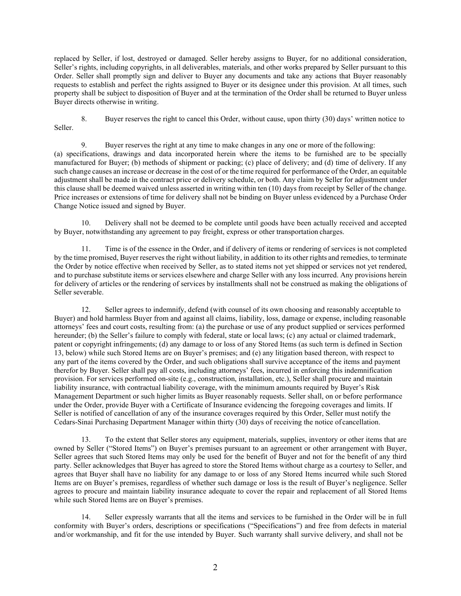replaced by Seller, if lost, destroyed or damaged. Seller hereby assigns to Buyer, for no additional consideration, Seller's rights, including copyrights, in all deliverables, materials, and other works prepared by Seller pursuant to this Order. Seller shall promptly sign and deliver to Buyer any documents and take any actions that Buyer reasonably requests to establish and perfect the rights assigned to Buyer or its designee under this provision. At all times, such property shall be subject to disposition of Buyer and at the termination of the Order shall be returned to Buyer unless Buyer directs otherwise in writing.

8. Buyer reserves the right to cancel this Order, without cause, upon thirty (30) days' written notice to Seller.

9. Buyer reserves the right at any time to make changes in any one or more of the following: (a) specifications, drawings and data incorporated herein where the items to be furnished are to be specially manufactured for Buyer; (b) methods of shipment or packing; (c) place of delivery; and (d) time of delivery. If any such change causes an increase or decrease in the cost of or the time required for performance of the Order, an equitable adjustment shall be made in the contract price or delivery schedule, or both. Any claim by Seller for adjustment under this clause shall be deemed waived unless asserted in writing within ten (10) days from receipt by Seller of the change. Price increases or extensions of time for delivery shall not be binding on Buyer unless evidenced by a Purchase Order Change Notice issued and signed by Buyer.

10. Delivery shall not be deemed to be complete until goods have been actually received and accepted by Buyer, notwithstanding any agreement to pay freight, express or other transportation charges.

11. Time is of the essence in the Order, and if delivery of items or rendering of services is not completed by the time promised, Buyer reserves the right without liability, in addition to its other rights and remedies, to terminate the Order by notice effective when received by Seller, as to stated items not yet shipped or services not yet rendered, and to purchase substitute items or services elsewhere and charge Seller with any loss incurred. Any provisions herein for delivery of articles or the rendering of services by installments shall not be construed as making the obligations of Seller severable.

12. Seller agrees to indemnify, defend (with counsel of its own choosing and reasonably acceptable to Buyer) and hold harmless Buyer from and against all claims, liability, loss, damage or expense, including reasonable attorneys' fees and court costs, resulting from: (a) the purchase or use of any product supplied or services performed hereunder; (b) the Seller's failure to comply with federal, state or local laws; (c) any actual or claimed trademark, patent or copyright infringements; (d) any damage to or loss of any Stored Items (as such term is defined in Section 13, below) while such Stored Items are on Buyer's premises; and (e) any litigation based thereon, with respect to any part of the items covered by the Order, and such obligations shall survive acceptance of the items and payment therefor by Buyer. Seller shall pay all costs, including attorneys' fees, incurred in enforcing this indemnification provision. For services performed on-site (e.g., construction, installation, etc.), Seller shall procure and maintain liability insurance, with contractual liability coverage, with the minimum amounts required by Buyer's Risk Management Department or such higher limits as Buyer reasonably requests. Seller shall, on or before performance under the Order, provide Buyer with a Certificate of Insurance evidencing the foregoing coverages and limits. If Seller is notified of cancellation of any of the insurance coverages required by this Order, Seller must notify the Cedars-Sinai Purchasing Department Manager within thirty (30) days of receiving the notice of cancellation.

13. To the extent that Seller stores any equipment, materials, supplies, inventory or other items that are owned by Seller ("Stored Items") on Buyer's premises pursuant to an agreement or other arrangement with Buyer, Seller agrees that such Stored Items may only be used for the benefit of Buyer and not for the benefit of any third party. Seller acknowledges that Buyer has agreed to store the Stored Items without charge as a courtesy to Seller, and agrees that Buyer shall have no liability for any damage to or loss of any Stored Items incurred while such Stored Items are on Buyer's premises, regardless of whether such damage or loss is the result of Buyer's negligence. Seller agrees to procure and maintain liability insurance adequate to cover the repair and replacement of all Stored Items while such Stored Items are on Buyer's premises.

14. Seller expressly warrants that all the items and services to be furnished in the Order will be in full conformity with Buyer's orders, descriptions or specifications ("Specifications") and free from defects in material and/or workmanship, and fit for the use intended by Buyer. Such warranty shall survive delivery, and shall not be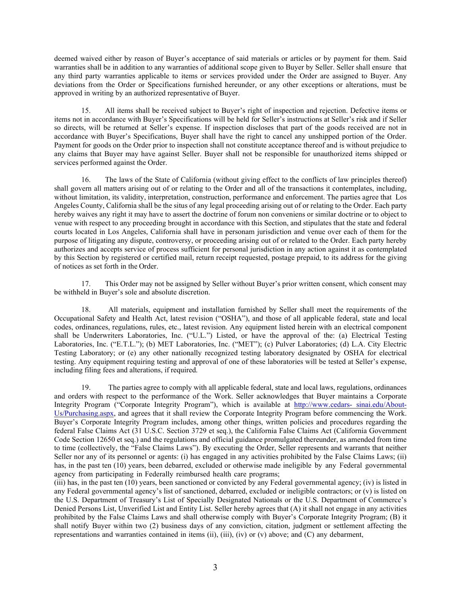deemed waived either by reason of Buyer's acceptance of said materials or articles or by payment for them. Said warranties shall be in addition to any warranties of additional scope given to Buyer by Seller. Seller shall ensure that any third party warranties applicable to items or services provided under the Order are assigned to Buyer. Any deviations from the Order or Specifications furnished hereunder, or any other exceptions or alterations, must be approved in writing by an authorized representative of Buyer.

15. All items shall be received subject to Buyer's right of inspection and rejection. Defective items or items not in accordance with Buyer's Specifications will be held for Seller's instructions at Seller's risk and if Seller so directs, will be returned at Seller's expense. If inspection discloses that part of the goods received are not in accordance with Buyer's Specifications, Buyer shall have the right to cancel any unshipped portion of the Order. Payment for goods on the Order prior to inspection shall not constitute acceptance thereof and is without prejudice to any claims that Buyer may have against Seller. Buyer shall not be responsible for unauthorized items shipped or services performed against the Order.

16. The laws of the State of California (without giving effect to the conflicts of law principles thereof) shall govern all matters arising out of or relating to the Order and all of the transactions it contemplates, including, without limitation, its validity, interpretation, construction, performance and enforcement. The parties agree that Los Angeles County, California shall be the situs of any legal proceeding arising out of or relating to the Order. Each party hereby waives any right it may have to assert the doctrine of forum non conveniens or similar doctrine or to object to venue with respect to any proceeding brought in accordance with this Section, and stipulates that the state and federal courts located in Los Angeles, California shall have in personam jurisdiction and venue over each of them for the purpose of litigating any dispute, controversy, or proceeding arising out of or related to the Order. Each party hereby authorizes and accepts service of process sufficient for personal jurisdiction in any action against it as contemplated by this Section by registered or certified mail, return receipt requested, postage prepaid, to its address for the giving of notices as set forth in the Order.

17. This Order may not be assigned by Seller without Buyer's prior written consent, which consent may be withheld in Buyer's sole and absolute discretion.

18. All materials, equipment and installation furnished by Seller shall meet the requirements of the Occupational Safety and Health Act, latest revision ("OSHA"), and those of all applicable federal, state and local codes, ordinances, regulations, rules, etc., latest revision. Any equipment listed herein with an electrical component shall be Underwriters Laboratories, Inc. ("U.L.") Listed, or have the approval of the: (a) Electrical Testing Laboratories, Inc. ("E.T.L."); (b) MET Laboratories, Inc. ("MET"); (c) Pulver Laboratories; (d) L.A. City Electric Testing Laboratory; or (e) any other nationally recognized testing laboratory designated by OSHA for electrical testing. Any equipment requiring testing and approval of one of these laboratories will be tested at Seller's expense, including filing fees and alterations, if required.

19. The parties agree to comply with all applicable federal, state and local laws, regulations, ordinances and orders with respect to the performance of the Work. Seller acknowledges that Buyer maintains a Corporate Integrity Program ("Corporate Integrity Program"), which is available at http://www.cedars- sinai.edu/About-Us/Purchasing.aspx, and agrees that it shall review the Corporate Integrity Program before commencing the Work. Buyer's Corporate Integrity Program includes, among other things, written policies and procedures regarding the federal False Claims Act (31 U.S.C. Section 3729 et seq.), the California False Claims Act (California Government Code Section 12650 et seq.) and the regulations and official guidance promulgated thereunder, as amended from time to time (collectively, the "False Claims Laws"). By executing the Order, Seller represents and warrants that neither Seller nor any of its personnel or agents: (i) has engaged in any activities prohibited by the False Claims Laws; (ii) has, in the past ten (10) years, been debarred, excluded or otherwise made ineligible by any Federal governmental agency from participating in Federally reimbursed health care programs;

(iii) has, in the past ten (10) years, been sanctioned or convicted by any Federal governmental agency; (iv) is listed in any Federal governmental agency's list of sanctioned, debarred, excluded or ineligible contractors; or (v) is listed on the U.S. Department of Treasury's List of Specially Designated Nationals or the U.S. Department of Commerce's Denied Persons List, Unverified List and Entity List. Seller hereby agrees that (A) it shall not engage in any activities prohibited by the False Claims Laws and shall otherwise comply with Buyer's Corporate Integrity Program; (B) it shall notify Buyer within two (2) business days of any conviction, citation, judgment or settlement affecting the representations and warranties contained in items (ii), (iii), (iv) or (v) above; and (C) any debarment,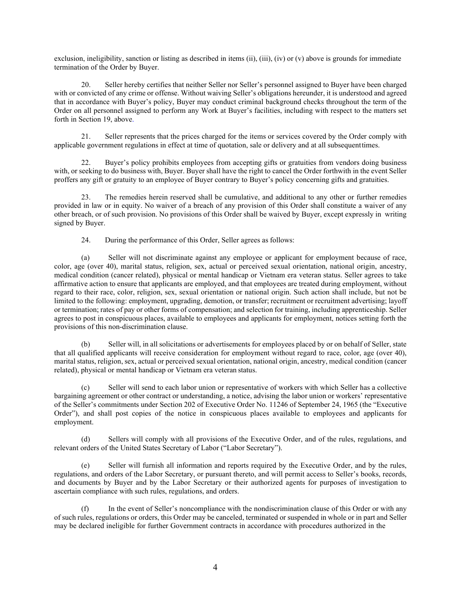exclusion, ineligibility, sanction or listing as described in items  $(ii)$ ,  $(iii)$ ,  $(iv)$  or  $(v)$  above is grounds for immediate termination of the Order by Buyer.

20. Seller hereby certifies that neither Seller nor Seller's personnel assigned to Buyer have been charged with or convicted of any crime or offense. Without waiving Seller's obligations hereunder, it is understood and agreed that in accordance with Buyer's policy, Buyer may conduct criminal background checks throughout the term of the Order on all personnel assigned to perform any Work at Buyer's facilities, including with respect to the matters set forth in Section 19, above.

21. Seller represents that the prices charged for the items or services covered by the Order comply with applicable government regulations in effect at time of quotation, sale or delivery and at all subsequenttimes.

22. Buyer's policy prohibits employees from accepting gifts or gratuities from vendors doing business with, or seeking to do business with, Buyer. Buyer shall have the right to cancel the Order forthwith in the event Seller proffers any gift or gratuity to an employee of Buyer contrary to Buyer's policy concerning gifts and gratuities.

23. The remedies herein reserved shall be cumulative, and additional to any other or further remedies provided in law or in equity. No waiver of a breach of any provision of this Order shall constitute a waiver of any other breach, or of such provision. No provisions of this Order shall be waived by Buyer, except expressly in writing signed by Buyer.

24. During the performance of this Order, Seller agrees as follows:

(a) Seller will not discriminate against any employee or applicant for employment because of race, color, age (over 40), marital status, religion, sex, actual or perceived sexual orientation, national origin, ancestry, medical condition (cancer related), physical or mental handicap or Vietnam era veteran status. Seller agrees to take affirmative action to ensure that applicants are employed, and that employees are treated during employment, without regard to their race, color, religion, sex, sexual orientation or national origin. Such action shall include, but not be limited to the following: employment, upgrading, demotion, or transfer; recruitment or recruitment advertising; layoff or termination; rates of pay or other forms of compensation; and selection for training, including apprenticeship. Seller agrees to post in conspicuous places, available to employees and applicants for employment, notices setting forth the provisions of this non-discrimination clause.

(b) Seller will, in all solicitations or advertisements for employees placed by or on behalf of Seller, state that all qualified applicants will receive consideration for employment without regard to race, color, age (over 40), marital status, religion, sex, actual or perceived sexual orientation, national origin, ancestry, medical condition (cancer related), physical or mental handicap or Vietnam era veteran status.

(c) Seller will send to each labor union or representative of workers with which Seller has a collective bargaining agreement or other contract or understanding, a notice, advising the labor union or workers' representative of the Seller's commitments under Section 202 of Executive Order No. 11246 of September 24, 1965 (the "Executive Order"), and shall post copies of the notice in conspicuous places available to employees and applicants for employment.

(d) Sellers will comply with all provisions of the Executive Order, and of the rules, regulations, and relevant orders of the United States Secretary of Labor ("Labor Secretary").

(e) Seller will furnish all information and reports required by the Executive Order, and by the rules, regulations, and orders of the Labor Secretary, or pursuant thereto, and will permit access to Seller's books, records, and documents by Buyer and by the Labor Secretary or their authorized agents for purposes of investigation to ascertain compliance with such rules, regulations, and orders.

(f) In the event of Seller's noncompliance with the nondiscrimination clause of this Order or with any of such rules, regulations or orders, this Order may be canceled, terminated or suspended in whole or in part and Seller may be declared ineligible for further Government contracts in accordance with procedures authorized in the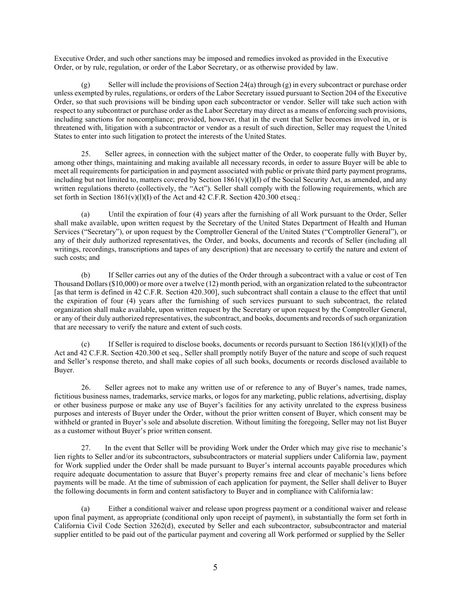Executive Order, and such other sanctions may be imposed and remedies invoked as provided in the Executive Order, or by rule, regulation, or order of the Labor Secretary, or as otherwise provided by law.

(g) Seller will include the provisions of Section 24(a) through (g) in every subcontract or purchase order unless exempted by rules, regulations, or orders of the Labor Secretary issued pursuant to Section 204 of the Executive Order, so that such provisions will be binding upon each subcontractor or vendor. Seller will take such action with respect to any subcontract or purchase order as the Labor Secretary may direct as a means of enforcing such provisions, including sanctions for noncompliance; provided, however, that in the event that Seller becomes involved in, or is threatened with, litigation with a subcontractor or vendor as a result of such direction, Seller may request the United States to enter into such litigation to protect the interests of the United States.

25. Seller agrees, in connection with the subject matter of the Order, to cooperate fully with Buyer by, among other things, maintaining and making available all necessary records, in order to assure Buyer will be able to meet all requirements for participation in and payment associated with public or private third party payment programs, including but not limited to, matters covered by Section  $1861(v)(l)(l)$  of the Social Security Act, as amended, and any written regulations thereto (collectively, the "Act"). Seller shall comply with the following requirements, which are set forth in Section 1861(v)(l)(I) of the Act and 42 C.F.R. Section 420.300 etseq.:

(a) Until the expiration of four (4) years after the furnishing of all Work pursuant to the Order, Seller shall make available, upon written request by the Secretary of the United States Department of Health and Human Services ("Secretary"), or upon request by the Comptroller General of the United States ("Comptroller General"), or any of their duly authorized representatives, the Order, and books, documents and records of Seller (including all writings, recordings, transcriptions and tapes of any description) that are necessary to certify the nature and extent of such costs; and

(b) If Seller carries out any of the duties of the Order through a subcontract with a value or cost of Ten Thousand Dollars (\$10,000) or more over a twelve (12) month period, with an organization related to the subcontractor [as that term is defined in 42 C.F.R. Section 420.300], such subcontract shall contain a clause to the effect that until the expiration of four (4) years after the furnishing of such services pursuant to such subcontract, the related organization shall make available, upon written request by the Secretary or upon request by the Comptroller General, or any of their duly authorized representatives, the subcontract, and books, documents and records of such organization that are necessary to verify the nature and extent of such costs.

(c) If Seller is required to disclose books, documents or records pursuant to Section  $1861(v)(l)(l)$  of the Act and 42 C.F.R. Section 420.300 et seq., Seller shall promptly notify Buyer of the nature and scope of such request and Seller's response thereto, and shall make copies of all such books, documents or records disclosed available to Buyer.

26. Seller agrees not to make any written use of or reference to any of Buyer's names, trade names, fictitious business names, trademarks, service marks, or logos for any marketing, public relations, advertising, display or other business purpose or make any use of Buyer's facilities for any activity unrelated to the express business purposes and interests of Buyer under the Order, without the prior written consent of Buyer, which consent may be withheld or granted in Buyer's sole and absolute discretion. Without limiting the foregoing, Seller may not list Buyer as a customer without Buyer's prior written consent.

27. In the event that Seller will be providing Work under the Order which may give rise to mechanic's lien rights to Seller and/or its subcontractors, subsubcontractors or material suppliers under California law, payment for Work supplied under the Order shall be made pursuant to Buyer's internal accounts payable procedures which require adequate documentation to assure that Buyer's property remains free and clear of mechanic's liens before payments will be made. At the time of submission of each application for payment, the Seller shall deliver to Buyer the following documents in form and content satisfactory to Buyer and in compliance with California law:

(a) Either a conditional waiver and release upon progress payment or a conditional waiver and release upon final payment, as appropriate (conditional only upon receipt of payment), in substantially the form set forth in California Civil Code Section 3262(d), executed by Seller and each subcontractor, subsubcontractor and material supplier entitled to be paid out of the particular payment and covering all Work performed or supplied by the Seller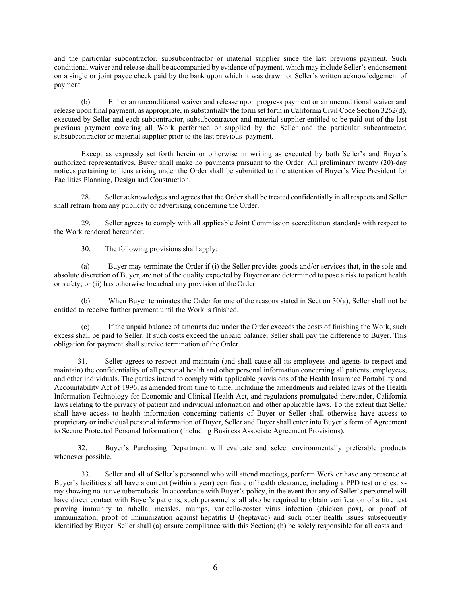and the particular subcontractor, subsubcontractor or material supplier since the last previous payment. Such conditional waiver and release shall be accompanied by evidence of payment, which may include Seller's endorsement on a single or joint payee check paid by the bank upon which it was drawn or Seller's written acknowledgement of payment.

(b) Either an unconditional waiver and release upon progress payment or an unconditional waiver and release upon final payment, as appropriate, in substantially the form set forth in California Civil Code Section 3262(d), executed by Seller and each subcontractor, subsubcontractor and material supplier entitled to be paid out of the last previous payment covering all Work performed or supplied by the Seller and the particular subcontractor, subsubcontractor or material supplier prior to the last previous payment.

Except as expressly set forth herein or otherwise in writing as executed by both Seller's and Buyer's authorized representatives, Buyer shall make no payments pursuant to the Order. All preliminary twenty (20)-day notices pertaining to liens arising under the Order shall be submitted to the attention of Buyer's Vice President for Facilities Planning, Design and Construction.

28. Seller acknowledges and agrees that the Order shall be treated confidentially in all respects and Seller shall refrain from any publicity or advertising concerning the Order.

29. Seller agrees to comply with all applicable Joint Commission accreditation standards with respect to the Work rendered hereunder.

30. The following provisions shall apply:

(a) Buyer may terminate the Order if (i) the Seller provides goods and/or services that, in the sole and absolute discretion of Buyer, are not of the quality expected by Buyer or are determined to pose a risk to patient health or safety; or (ii) has otherwise breached any provision of the Order.

When Buyer terminates the Order for one of the reasons stated in Section  $30(a)$ , Seller shall not be entitled to receive further payment until the Work is finished.

(c) If the unpaid balance of amounts due under the Order exceeds the costs of finishing the Work, such excess shall be paid to Seller. If such costs exceed the unpaid balance, Seller shall pay the difference to Buyer. This obligation for payment shall survive termination of the Order.

31. Seller agrees to respect and maintain (and shall cause all its employees and agents to respect and maintain) the confidentiality of all personal health and other personal information concerning all patients, employees, and other individuals. The parties intend to comply with applicable provisions of the Health Insurance Portability and Accountability Act of 1996, as amended from time to time, including the amendments and related laws of the Health Information Technology for Economic and Clinical Health Act, and regulations promulgated thereunder, California laws relating to the privacy of patient and individual information and other applicable laws. To the extent that Seller shall have access to health information concerning patients of Buyer or Seller shall otherwise have access to proprietary or individual personal information of Buyer, Seller and Buyer shall enter into Buyer's form of Agreement to Secure Protected Personal Information (Including Business Associate Agreement Provisions).

32. Buyer's Purchasing Department will evaluate and select environmentally preferable products whenever possible.

33. Seller and all of Seller's personnel who will attend meetings, perform Work or have any presence at Buyer's facilities shall have a current (within a year) certificate of health clearance, including a PPD test or chest xray showing no active tuberculosis. In accordance with Buyer's policy, in the event that any of Seller's personnel will have direct contact with Buyer's patients, such personnel shall also be required to obtain verification of a titre test proving immunity to rubella, measles, mumps, varicella-zoster virus infection (chicken pox), or proof of immunization, proof of immunization against hepatitis B (heptavac) and such other health issues subsequently identified by Buyer. Seller shall (a) ensure compliance with this Section; (b) be solely responsible for all costs and